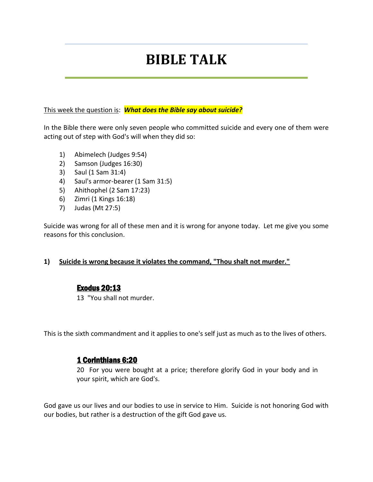# **BIBLE TALK**

#### This week the question is: *What does the Bible say about suicide?*

In the Bible there were only seven people who committed suicide and every one of them were acting out of step with God's will when they did so:

- 1) Abimelech (Judges 9:54)
- 2) Samson (Judges 16:30)
- 3) Saul (1 Sam 31:4)
- 4) Saul's armor-bearer (1 Sam 31:5)
- 5) Ahithophel (2 Sam 17:23)
- 6) Zimri (1 Kings 16:18)
- 7) Judas (Mt 27:5)

Suicide was wrong for all of these men and it is wrong for anyone today. Let me give you some reasons for this conclusion.

#### **1) Suicide is wrong because it violates the command, "Thou shalt not murder."**

#### Exodus 20:13

13 "You shall not murder.

This is the sixth commandment and it applies to one's self just as much as to the lives of others.

#### 1 Corinthians 6:20

20 For you were bought at a price; therefore glorify God in your body and in your spirit, which are God's.

God gave us our lives and our bodies to use in service to Him. Suicide is not honoring God with our bodies, but rather is a destruction of the gift God gave us.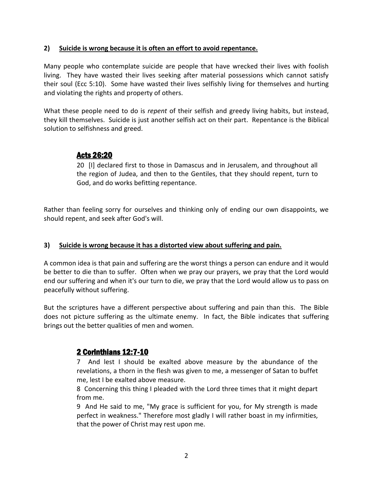#### **2) Suicide is wrong because it is often an effort to avoid repentance.**

Many people who contemplate suicide are people that have wrecked their lives with foolish living. They have wasted their lives seeking after material possessions which cannot satisfy their soul (Ecc 5:10). Some have wasted their lives selfishly living for themselves and hurting and violating the rights and property of others.

What these people need to do is *repent* of their selfish and greedy living habits, but instead, they kill themselves. Suicide is just another selfish act on their part. Repentance is the Biblical solution to selfishness and greed.

# Acts 26:20

20 [I] declared first to those in Damascus and in Jerusalem, and throughout all the region of Judea, and then to the Gentiles, that they should repent, turn to God, and do works befitting repentance.

Rather than feeling sorry for ourselves and thinking only of ending our own disappoints, we should repent, and seek after God's will.

#### **3) Suicide is wrong because it has a distorted view about suffering and pain.**

A common idea is that pain and suffering are the worst things a person can endure and it would be better to die than to suffer. Often when we pray our prayers, we pray that the Lord would end our suffering and when it's our turn to die, we pray that the Lord would allow us to pass on peacefully without suffering.

But the scriptures have a different perspective about suffering and pain than this. The Bible does not picture suffering as the ultimate enemy. In fact, the Bible indicates that suffering brings out the better qualities of men and women.

# 2 Corinthians 12:7-10

7 And lest I should be exalted above measure by the abundance of the revelations, a thorn in the flesh was given to me, a messenger of Satan to buffet me, lest I be exalted above measure.

8 Concerning this thing I pleaded with the Lord three times that it might depart from me.

9 And He said to me, "My grace is sufficient for you, for My strength is made perfect in weakness." Therefore most gladly I will rather boast in my infirmities, that the power of Christ may rest upon me.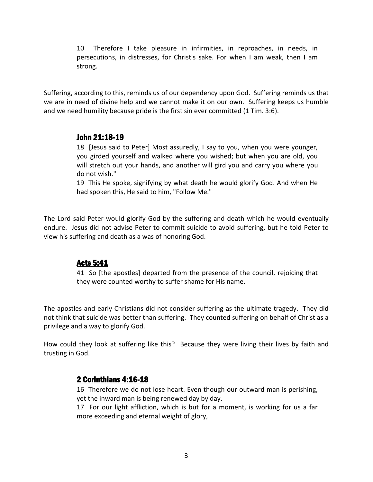10 Therefore I take pleasure in infirmities, in reproaches, in needs, in persecutions, in distresses, for Christ's sake. For when I am weak, then I am strong.

Suffering, according to this, reminds us of our dependency upon God. Suffering reminds us that we are in need of divine help and we cannot make it on our own. Suffering keeps us humble and we need humility because pride is the first sin ever committed (1 Tim. 3:6).

### John 21:18-19

18 [Jesus said to Peter] Most assuredly, I say to you, when you were younger, you girded yourself and walked where you wished; but when you are old, you will stretch out your hands, and another will gird you and carry you where you do not wish."

19 This He spoke, signifying by what death he would glorify God. And when He had spoken this, He said to him, "Follow Me."

The Lord said Peter would glorify God by the suffering and death which he would eventually endure. Jesus did not advise Peter to commit suicide to avoid suffering, but he told Peter to view his suffering and death as a was of honoring God.

## Acts 5:41

41 So [the apostles] departed from the presence of the council, rejoicing that they were counted worthy to suffer shame for His name.

The apostles and early Christians did not consider suffering as the ultimate tragedy. They did not think that suicide was better than suffering. They counted suffering on behalf of Christ as a privilege and a way to glorify God.

How could they look at suffering like this? Because they were living their lives by faith and trusting in God.

## 2 Corinthians 4:16-18

16 Therefore we do not lose heart. Even though our outward man is perishing, yet the inward man is being renewed day by day.

17 For our light affliction, which is but for a moment, is working for us a far more exceeding and eternal weight of glory,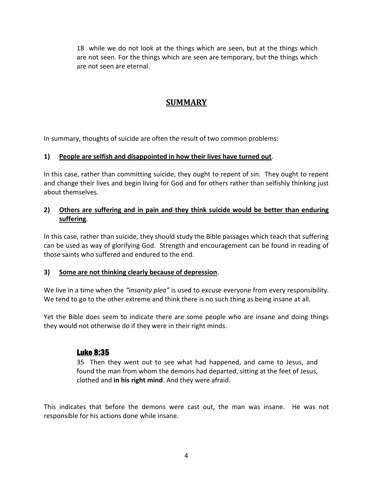18 while we do not look at the things which are seen, but at the things which are not seen. For the things which are seen are temporary, but the things which are not seen are eternal.

# **SUMMARY**

In summary, thoughts of suicide are often the result of two common problems:

#### **1) People are selfish and disappointed in how their lives have turned out**.

In this case, rather than committing suicide, they ought to repent of sin. They ought to repent and change their lives and begin living for God and for others rather than selfishly thinking just about themselves.

#### **2) Others are suffering and in pain and they think suicide would be better than enduring suffering**.

In this case, rather than suicide, they should study the Bible passages which teach that suffering can be used as way of glorifying God. Strength and encouragement can be found in reading of those saints who suffered and endured to the end.

#### **3) Some are not thinking clearly because of depression**.

We live in a time when the *"insanity plea"* is used to excuse everyone from every responsibility. We tend to go to the other extreme and think there is no such thing as being insane at all.

Yet the Bible does seem to indicate there are some people who are insane and doing things they would not otherwise do if they were in their right minds.

## Luke 8:35

35 Then they went out to see what had happened, and came to Jesus, and found the man from whom the demons had departed, sitting at the feet of Jesus, clothed and **in his right mind**. And they were afraid.

This indicates that before the demons were cast out, the man was insane. He was not responsible for his actions done while insane.